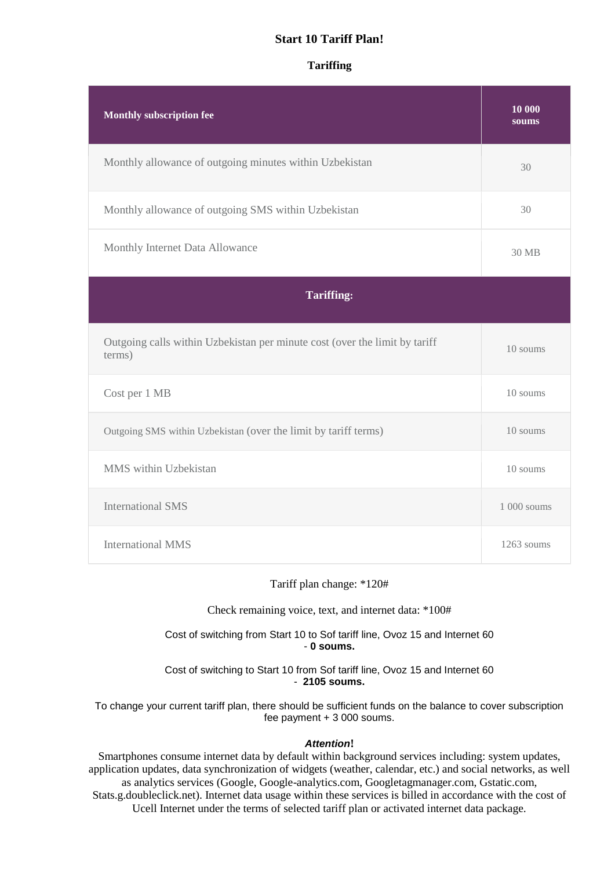## **Start 10 Tariff Plan!**

## **Tariffing**

| <b>Monthly subscription fee</b>                                                      | 10 000<br>soums |
|--------------------------------------------------------------------------------------|-----------------|
| Monthly allowance of outgoing minutes within Uzbekistan                              | 30              |
| Monthly allowance of outgoing SMS within Uzbekistan                                  | 30              |
| Monthly Internet Data Allowance                                                      | 30 MB           |
| <b>Tariffing:</b>                                                                    |                 |
| Outgoing calls within Uzbekistan per minute cost (over the limit by tariff<br>terms) | 10 soums        |
| Cost per 1 MB                                                                        | 10 soums        |
| Outgoing SMS within Uzbekistan (over the limit by tariff terms)                      | 10 soums        |
| MMS within Uzbekistan                                                                | 10 soums        |
| <b>International SMS</b>                                                             | 1 000 soums     |
|                                                                                      |                 |

## Tariff plan change: \*120#

Check remaining voice, text, and internet data: \*100#

Cost of switching from Start 10 to Sof tariff line, Ovoz 15 and Internet 60 - **0 soums.**

Cost of switching to Start 10 from Sof tariff line, Ovoz 15 and Internet 60 - **2105 soums.**

To change your current tariff plan, there should be sufficient funds on the balance to cover subscription fee payment + 3 000 soums.

#### *Attention***!**

Smartphones consume internet data by default within background services including: system updates, application updates, data synchronization of widgets (weather, calendar, etc.) and social networks, as well as analytics services (Google, Google-analytics.com, Googletagmanager.com, Gstatic.com, Stats.g.doubleclick.net). Internet data usage within these services is billed in accordance with the cost of Ucell Internet under the terms of selected tariff plan or activated internet data package.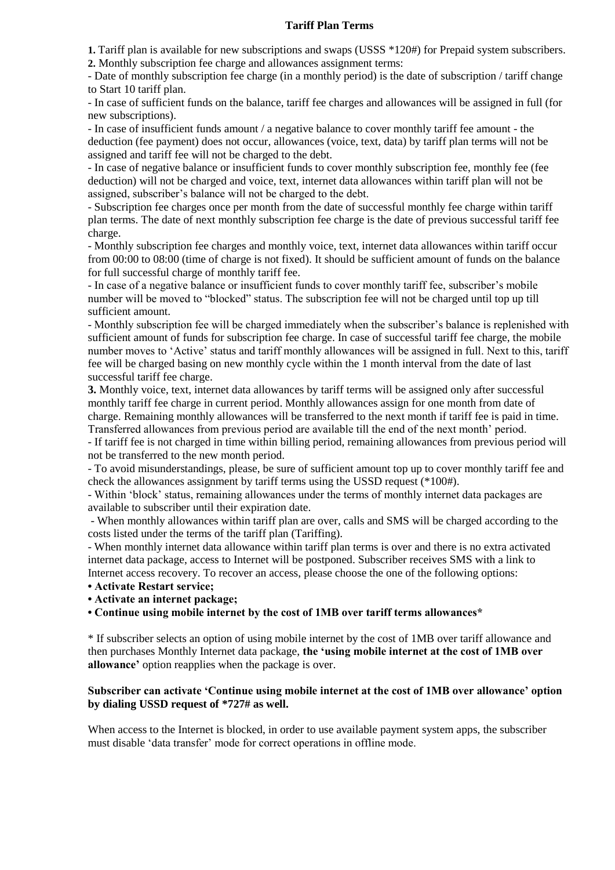#### **Tariff Plan Terms**

**1.** Tariff plan is available for new subscriptions and swaps (USSS \*120#) for Prepaid system subscribers.

**2.** Monthly subscription fee charge and allowances assignment terms:

- Date of monthly subscription fee charge (in a monthly period) is the date of subscription / tariff change to Start 10 tariff plan.

- In case of sufficient funds on the balance, tariff fee charges and allowances will be assigned in full (for new subscriptions).

- In case of insufficient funds amount / a negative balance to cover monthly tariff fee amount - the deduction (fee payment) does not occur, allowances (voice, text, data) by tariff plan terms will not be assigned and tariff fee will not be charged to the debt.

- In case of negative balance or insufficient funds to cover monthly subscription fee, monthly fee (fee deduction) will not be charged and voice, text, internet data allowances within tariff plan will not be assigned, subscriber's balance will not be charged to the debt.

- Subscription fee charges once per month from the date of successful monthly fee charge within tariff plan terms. The date of next monthly subscription fee charge is the date of previous successful tariff fee charge.

- Monthly subscription fee charges and monthly voice, text, internet data allowances within tariff occur from 00:00 to 08:00 (time of charge is not fixed). It should be sufficient amount of funds on the balance for full successful charge of monthly tariff fee.

- In case of a negative balance or insufficient funds to cover monthly tariff fee, subscriber's mobile number will be moved to "blocked" status. The subscription fee will not be charged until top up till sufficient amount.

- Monthly subscription fee will be charged immediately when the subscriber's balance is replenished with sufficient amount of funds for subscription fee charge. In case of successful tariff fee charge, the mobile number moves to 'Active' status and tariff monthly allowances will be assigned in full. Next to this, tariff fee will be charged basing on new monthly cycle within the 1 month interval from the date of last successful tariff fee charge.

**3.** Monthly voice, text, internet data allowances by tariff terms will be assigned only after successful monthly tariff fee charge in current period. Monthly allowances assign for one month from date of charge. Remaining monthly allowances will be transferred to the next month if tariff fee is paid in time. Transferred allowances from previous period are available till the end of the next month' period.

- If tariff fee is not charged in time within billing period, remaining allowances from previous period will not be transferred to the new month period.

- To avoid misunderstandings, please, be sure of sufficient amount top up to cover monthly tariff fee and check the allowances assignment by tariff terms using the USSD request (\*100#).

- Within 'block' status, remaining allowances under the terms of monthly internet data packages are available to subscriber until their expiration date.

- When monthly allowances within tariff plan are over, calls and SMS will be charged according to the costs listed under the terms of the tariff plan (Tariffing).

- When monthly internet data allowance within tariff plan terms is over and there is no extra activated internet data package, access to Internet will be postponed. Subscriber receives SMS with a link to Internet access recovery. To recover an access, please choose the one of the following options:

**• Activate Restart service;**

**• Activate an internet package;**

**• Continue using mobile internet by the cost of 1MB over tariff terms allowances\***

\* If subscriber selects an option of using mobile internet by the cost of 1MB over tariff allowance and then purchases Monthly Internet data package, **the 'using mobile internet at the cost of 1MB over allowance'** option reapplies when the package is over.

### **Subscriber can activate 'Continue using mobile internet at the cost of 1MB over allowance' option by dialing USSD request of \*727# as well.**

When access to the Internet is blocked, in order to use available payment system apps, the subscriber must disable 'data transfer' mode for correct operations in offline mode.